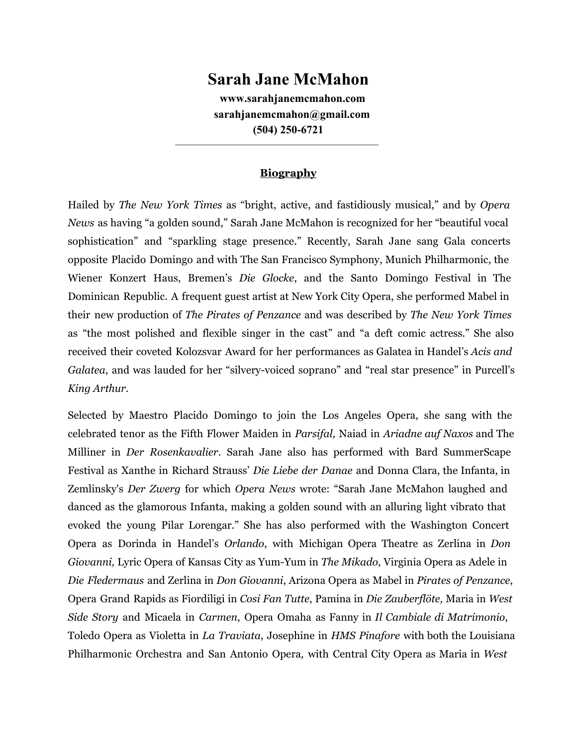## **Sarah Jane McMahon**

**www.sarahjanemcmahon.com sarahjanemcmahon@gmail.com (504) 250-6721** 

## **Biography**

**\_\_\_\_\_\_\_\_\_\_\_\_\_\_\_\_\_\_\_\_\_\_\_\_\_\_\_\_\_\_\_\_\_\_\_\_\_\_\_\_\_\_\_\_\_\_\_\_\_\_\_\_\_\_\_\_\_\_\_\_\_\_\_\_**

Hailed by *The New York Times* as "bright, active, and fastidiously musical," and by *Opera News* as having "a golden sound," Sarah Jane McMahon is recognized for her "beautiful vocal sophistication" and "sparkling stage presence." Recently, Sarah Jane sang Gala concerts opposite Placido Domingo and with The San Francisco Symphony, Munich Philharmonic, the Wiener Konzert Haus, Bremen's *Die Glocke*, and the Santo Domingo Festival in The Dominican Republic. A frequent guest artist at New York City Opera, she performed Mabel in their new production of *The Pirates of Penzance* and was described by *The New York Times* as "the most polished and flexible singer in the cast" and "a deft comic actress." She also received their coveted Kolozsvar Award for her performances as Galatea in Handel's *Acis and Galatea*, and was lauded for her "silvery-voiced soprano" and "real star presence" in Purcell's *King Arthur*.

Selected by Maestro Placido Domingo to join the Los Angeles Opera, she sang with the celebrated tenor as the Fifth Flower Maiden in *Parsifal,* Naiad in *Ariadne auf Naxos* and The Milliner in *Der Rosenkavalier*. Sarah Jane also has performed with Bard SummerScape Festival as Xanthe in Richard Strauss' *Die Liebe der Danae* and Donna Clara, the Infanta, in Zemlinsky's *Der Zwerg* for which *Opera News* wrote: "Sarah Jane McMahon laughed and danced as the glamorous Infanta, making a golden sound with an alluring light vibrato that evoked the young Pilar Lorengar." She has also performed with the Washington Concert Opera as Dorinda in Handel's *Orlando*, with Michigan Opera Theatre as Zerlina in *Don Giovanni,* Lyric Opera of Kansas City as Yum-Yum in *The Mikado*, Virginia Opera as Adele in *Die Fledermaus* and Zerlina in *Don Giovanni*, Arizona Opera as Mabel in *Pirates of Penzance*, Opera Grand Rapids as Fiordiligi in *Cosi Fan Tutte*, Pamina in *Die Zauberflöte,* Maria in *West Side Story* and Micaela in *Carmen*, Opera Omaha as Fanny in *Il Cambiale di Matrimonio*, Toledo Opera as Violetta in *La Traviata*, Josephine in *HMS Pinafore* with both the Louisiana Philharmonic Orchestra and San Antonio Opera, with Central City Opera as Maria in *West*